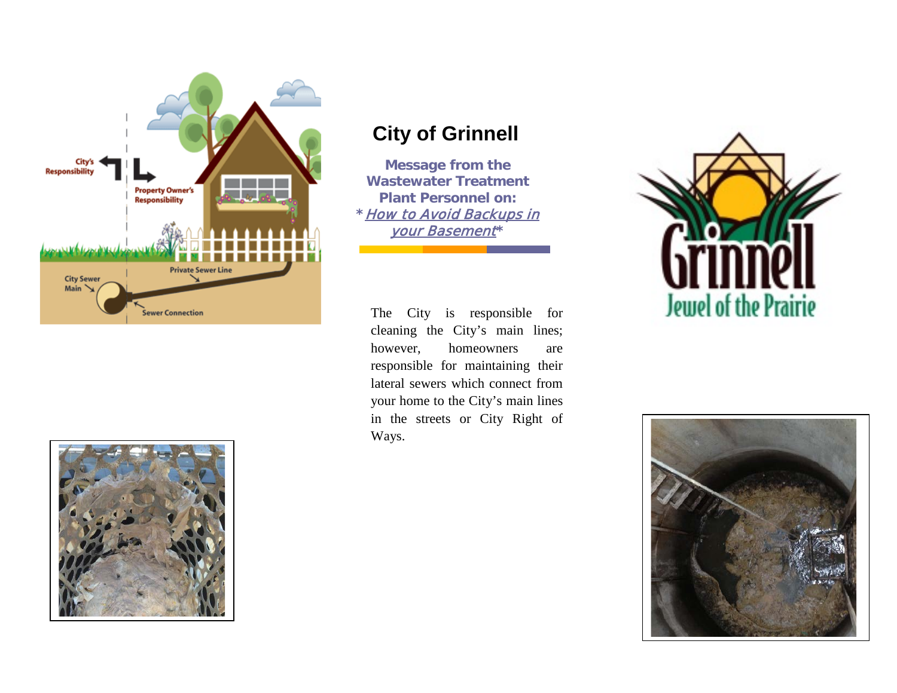

## **City of Grinnell**

**Message from the Wastewater Treatment Plant Personnel on: \***How to Avoid Backups in your Basement**\***

The City is responsible for cleaning the City's main lines; however, homeowners are responsible for maintaining their lateral sewers which connect from your home to the City's main lines in the streets or City Right of Ways.